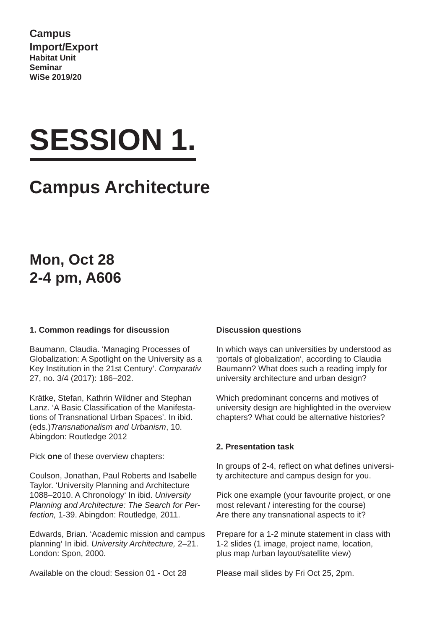**Campus Import/Export Habitat Unit Seminar WiSe 2019/20**

# **SESSION 1.**

## **Campus Architecture**

## **Mon, Oct 28 2-4 pm, A606**

#### **1. Common readings for discussion**

Baumann, Claudia. 'Managing Processes of Globalization: A Spotlight on the University as a Key Institution in the 21st Century'. *Comparativ* 27, no. 3/4 (2017): 186–202.

Krätke, Stefan, Kathrin Wildner and Stephan Lanz. 'A Basic Classification of the Manifestations of Transnational Urban Spaces'. In ibid. (eds.)*Transnationalism and Urbanism*, 10. Abingdon: Routledge 2012

Pick **one** of these overview chapters:

Coulson, Jonathan, Paul Roberts and Isabelle Taylor. 'University Planning and Architecture 1088–2010. A Chronology' In ibid. *University Planning and Architecture: The Search for Perfection,* 1-39. Abingdon: Routledge, 2011.

Edwards, Brian. 'Academic mission and campus planning' In ibid. *University Architecture,* 2–21. London: Spon, 2000.

Available on the cloud: Session 01 - Oct 28

#### **Discussion questions**

In which ways can universities by understood as 'portals of globalization', according to Claudia Baumann? What does such a reading imply for university architecture and urban design?

Which predominant concerns and motives of university design are highlighted in the overview chapters? What could be alternative histories?

#### **2. Presentation task**

In groups of 2-4, reflect on what defines university architecture and campus design for you.

Pick one example (your favourite project, or one most relevant / interesting for the course) Are there any transnational aspects to it?

Prepare for a 1-2 minute statement in class with 1-2 slides (1 image, project name, location, plus map /urban layout/satellite view)

Please mail slides by Fri Oct 25, 2pm.